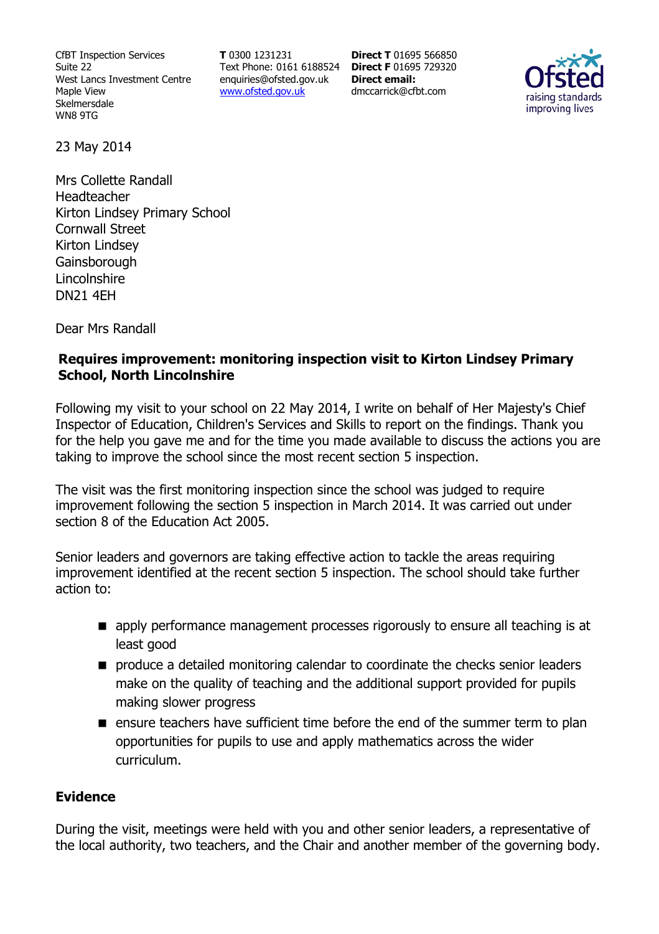CfBT Inspection Services Suite 22 West Lancs Investment Centre Maple View Skelmersdale WN8 9TG

**T** 0300 1231231 Text Phone: 0161 6188524 **Direct F** 01695 729320 enquiries@ofsted.gov.uk www.ofsted.gov.uk

**Direct T** 01695 566850 **Direct email:**  dmccarrick@cfbt.com



23 May 2014

Mrs Collette Randall Headteacher Kirton Lindsey Primary School Cornwall Street Kirton Lindsey **Gainsborough Lincolnshire** DN21 4EH

Dear Mrs Randall

#### **Requires improvement: monitoring inspection visit to Kirton Lindsey Primary School, North Lincolnshire**

Following my visit to your school on 22 May 2014, I write on behalf of Her Majesty's Chief Inspector of Education, Children's Services and Skills to report on the findings. Thank you for the help you gave me and for the time you made available to discuss the actions you are taking to improve the school since the most recent section 5 inspection.

The visit was the first monitoring inspection since the school was judged to require improvement following the section 5 inspection in March 2014. It was carried out under section 8 of the Education Act 2005.

Senior leaders and governors are taking effective action to tackle the areas requiring improvement identified at the recent section 5 inspection. The school should take further action to:

- **E** apply performance management processes rigorously to ensure all teaching is at least good
- **PED produce a detailed monitoring calendar to coordinate the checks senior leaders** make on the quality of teaching and the additional support provided for pupils making slower progress
- **E** ensure teachers have sufficient time before the end of the summer term to plan opportunities for pupils to use and apply mathematics across the wider curriculum.

#### **Evidence**

During the visit, meetings were held with you and other senior leaders, a representative of the local authority, two teachers, and the Chair and another member of the governing body.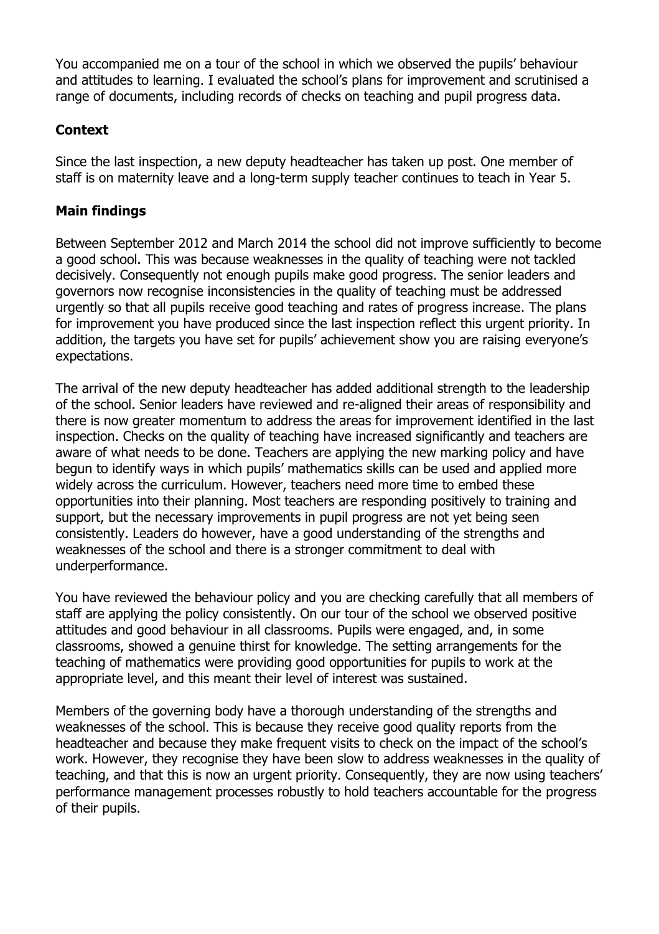You accompanied me on a tour of the school in which we observed the pupils' behaviour and attitudes to learning. I evaluated the school's plans for improvement and scrutinised a range of documents, including records of checks on teaching and pupil progress data.

# **Context**

Since the last inspection, a new deputy headteacher has taken up post. One member of staff is on maternity leave and a long-term supply teacher continues to teach in Year 5.

### **Main findings**

Between September 2012 and March 2014 the school did not improve sufficiently to become a good school. This was because weaknesses in the quality of teaching were not tackled decisively. Consequently not enough pupils make good progress. The senior leaders and governors now recognise inconsistencies in the quality of teaching must be addressed urgently so that all pupils receive good teaching and rates of progress increase. The plans for improvement you have produced since the last inspection reflect this urgent priority. In addition, the targets you have set for pupils' achievement show you are raising everyone's expectations.

The arrival of the new deputy headteacher has added additional strength to the leadership of the school. Senior leaders have reviewed and re-aligned their areas of responsibility and there is now greater momentum to address the areas for improvement identified in the last inspection. Checks on the quality of teaching have increased significantly and teachers are aware of what needs to be done. Teachers are applying the new marking policy and have begun to identify ways in which pupils' mathematics skills can be used and applied more widely across the curriculum. However, teachers need more time to embed these opportunities into their planning. Most teachers are responding positively to training and support, but the necessary improvements in pupil progress are not yet being seen consistently. Leaders do however, have a good understanding of the strengths and weaknesses of the school and there is a stronger commitment to deal with underperformance.

You have reviewed the behaviour policy and you are checking carefully that all members of staff are applying the policy consistently. On our tour of the school we observed positive attitudes and good behaviour in all classrooms. Pupils were engaged, and, in some classrooms, showed a genuine thirst for knowledge. The setting arrangements for the teaching of mathematics were providing good opportunities for pupils to work at the appropriate level, and this meant their level of interest was sustained.

Members of the governing body have a thorough understanding of the strengths and weaknesses of the school. This is because they receive good quality reports from the headteacher and because they make frequent visits to check on the impact of the school's work. However, they recognise they have been slow to address weaknesses in the quality of teaching, and that this is now an urgent priority. Consequently, they are now using teachers' performance management processes robustly to hold teachers accountable for the progress of their pupils.